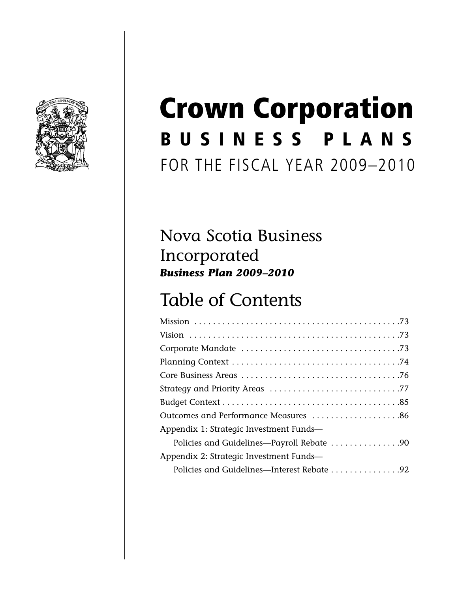

# **B U S I N E S S P L A N S** FOR THE FISCAL YEAR 2009–2010 **Crown Corporation**

## Nova Scotia Business Incorporated *Business Plan 2009–2010*

## Table of Contents

| Outcomes and Performance Measures 86       |
|--------------------------------------------|
| Appendix 1: Strategic Investment Funds-    |
| Policies and Guidelines—Payroll Rebate 90  |
| Appendix 2: Strategic Investment Funds-    |
| Policies and Guidelines—Interest Rebate 92 |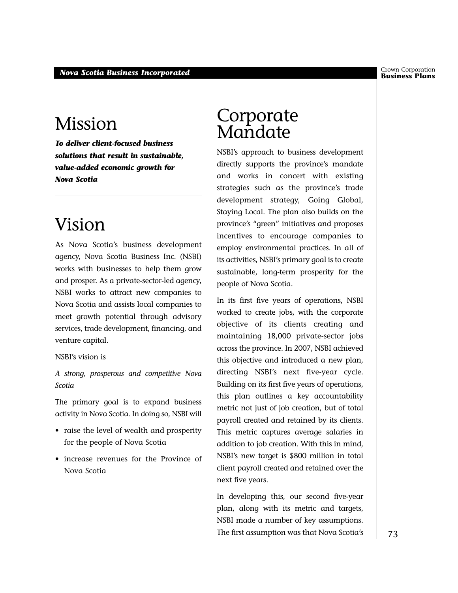Crown Corporation

## Mission

*To deliver client-focused business solutions that result in sustainable, value-added economic growth for Nova Scotia*

## Vision

As Nova Scotia's business development agency, Nova Scotia Business Inc. (NSBI) works with businesses to help them grow and prosper. As a private-sector-led agency, NSBI works to attract new companies to Nova Scotia and assists local companies to meet growth potential through advisory services, trade development, financing, and venture capital.

NSBI's vision is

*A strong, prosperous and competitive Nova Scotia*

The primary goal is to expand business activity in Nova Scotia. In doing so, NSBI will

- raise the level of wealth and prosperity for the people of Nova Scotia
- increase revenues for the Province of Nova Scotia

### Corporate Mandate

NSBI's approach to business development directly supports the province's mandate and works in concert with existing strategies such as the province's trade development strategy, Going Global, Staying Local. The plan also builds on the province's "green" initiatives and proposes incentives to encourage companies to employ environmental practices. In all of its activities, NSBI's primary goal is to create sustainable, long-term prosperity for the people of Nova Scotia.

In its first five years of operations, NSBI worked to create jobs, with the corporate objective of its clients creating and maintaining 18,000 private-sector jobs across the province. In 2007, NSBI achieved this objective and introduced a new plan, directing NSBI's next five-year cycle. Building on its first five years of operations, this plan outlines a key accountability metric not just of job creation, but of total payroll created and retained by its clients. This metric captures average salaries in addition to job creation. With this in mind, NSBI's new target is \$800 million in total client payroll created and retained over the next five years.

In developing this, our second five-year plan, along with its metric and targets, NSBI made a number of key assumptions. The first assumption was that Nova Scotia's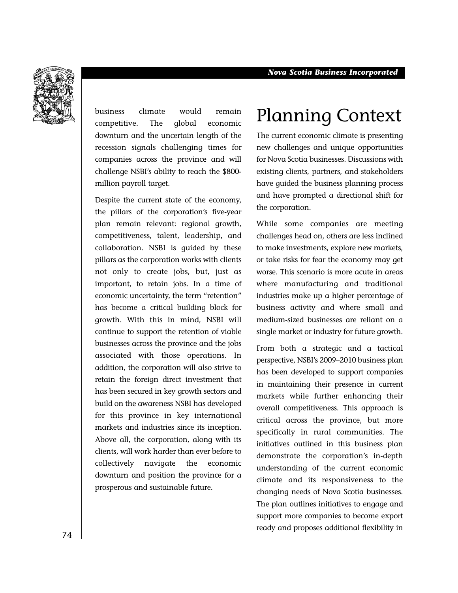

business climate would remain competitive. The global economic downturn and the uncertain length of the recession signals challenging times for companies across the province and will challenge NSBI's ability to reach the \$800 million payroll target.

Despite the current state of the economy, the pillars of the corporation's five-year plan remain relevant: regional growth, competitiveness, talent, leadership, and collaboration. NSBI is guided by these pillars as the corporation works with clients not only to create jobs, but, just as important, to retain jobs. In a time of economic uncertainty, the term "retention" has become a critical building block for growth. With this in mind, NSBI will continue to support the retention of viable businesses across the province and the jobs associated with those operations. In addition, the corporation will also strive to retain the foreign direct investment that has been secured in key growth sectors and build on the awareness NSBI has developed for this province in key international markets and industries since its inception. Above all, the corporation, along with its clients, will work harder than ever before to collectively navigate the economic downturn and position the province for a prosperous and sustainable future.

## Planning Context

The current economic climate is presenting new challenges and unique opportunities for Nova Scotia businesses. Discussions with existing clients, partners, and stakeholders have guided the business planning process and have prompted a directional shift for the corporation.

While some companies are meeting challenges head on, others are less inclined to make investments, explore new markets, or take risks for fear the economy may get worse. This scenario is more acute in areas where manufacturing and traditional industries make up a higher percentage of business activity and where small and medium-sized businesses are reliant on a single market or industry for future growth.

From both a strategic and a tactical perspective, NSBI's 2009–2010 business plan has been developed to support companies in maintaining their presence in current markets while further enhancing their overall competitiveness. This approach is critical across the province, but more specifically in rural communities. The initiatives outlined in this business plan demonstrate the corporation's in-depth understanding of the current economic climate and its responsiveness to the changing needs of Nova Scotia businesses. The plan outlines initiatives to engage and support more companies to become export ready and proposes additional flexibility in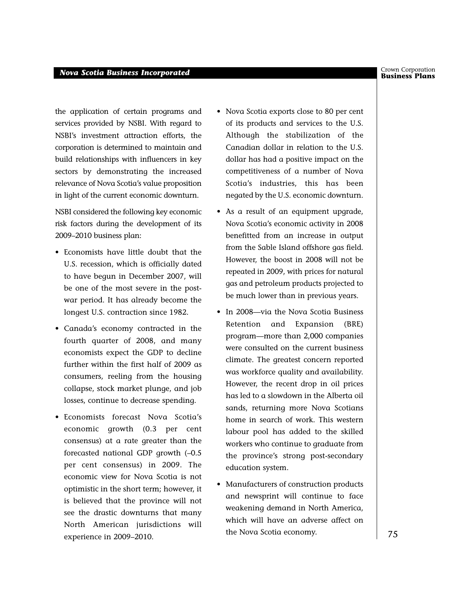#### **Business Plans** *Nova Scotia Business Incorporated*

the application of certain programs and services provided by NSBI. With regard to NSBI's investment attraction efforts, the corporation is determined to maintain and build relationships with influencers in key sectors by demonstrating the increased relevance of Nova Scotia's value proposition in light of the current economic downturn.

NSBI considered the following key economic risk factors during the development of its 2009–2010 business plan:

- Economists have little doubt that the U.S. recession, which is officially dated to have begun in December 2007, will be one of the most severe in the postwar period. It has already become the longest U.S. contraction since 1982.
- Canada's economy contracted in the fourth quarter of 2008, and many economists expect the GDP to decline further within the first half of 2009 as consumers, reeling from the housing collapse, stock market plunge, and job losses, continue to decrease spending.
- Economists forecast Nova Scotia's economic growth (0.3 per cent consensus) at a rate greater than the forecasted national GDP growth (–0.5 per cent consensus) in 2009. The economic view for Nova Scotia is not optimistic in the short term; however, it is believed that the province will not see the drastic downturns that many North American jurisdictions will experience in 2009–2010.
- Nova Scotia exports close to 80 per cent of its products and services to the U.S. Although the stabilization of the Canadian dollar in relation to the U.S. dollar has had a positive impact on the competitiveness of a number of Nova Scotia's industries, this has been negated by the U.S. economic downturn.
- As a result of an equipment upgrade, Nova Scotia's economic activity in 2008 benefitted from an increase in output from the Sable Island offshore gas field. However, the boost in 2008 will not be repeated in 2009, with prices for natural gas and petroleum products projected to be much lower than in previous years.
- In 2008—via the Nova Scotia Business Retention and Expansion (BRE) program—more than 2,000 companies were consulted on the current business climate. The greatest concern reported was workforce quality and availability. However, the recent drop in oil prices has led to a slowdown in the Alberta oil sands, returning more Nova Scotians home in search of work. This western labour pool has added to the skilled workers who continue to graduate from the province's strong post-secondary education system.
- Manufacturers of construction products and newsprint will continue to face weakening demand in North America, which will have an adverse affect on the Nova Scotia economy.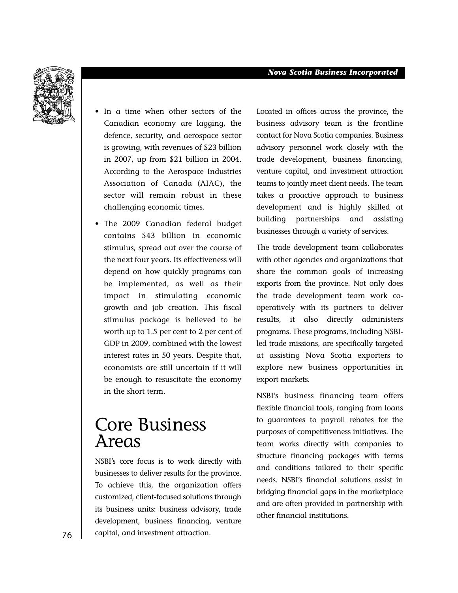

- In a time when other sectors of the Canadian economy are lagging, the defence, security, and aerospace sector is growing, with revenues of \$23 billion in 2007, up from \$21 billion in 2004. According to the Aerospace Industries Association of Canada (AIAC), the sector will remain robust in these challenging economic times.
- The 2009 Canadian federal budget contains \$43 billion in economic stimulus, spread out over the course of the next four years. Its effectiveness will depend on how quickly programs can be implemented, as well as their impact in stimulating economic growth and job creation. This fiscal stimulus package is believed to be worth up to 1.5 per cent to 2 per cent of GDP in 2009, combined with the lowest interest rates in 50 years. Despite that, economists are still uncertain if it will be enough to resuscitate the economy in the short term.

## Core Business Areas

NSBI's core focus is to work directly with businesses to deliver results for the province. To achieve this, the organization offers customized, client-focused solutions through its business units: business advisory, trade development, business financing, venture capital, and investment attraction.

Located in offices across the province, the business advisory team is the frontline contact for Nova Scotia companies. Business advisory personnel work closely with the trade development, business financing, venture capital, and investment attraction teams to jointly meet client needs. The team takes a proactive approach to business development and is highly skilled at building partnerships and assisting businesses through a variety of services.

The trade development team collaborates with other agencies and organizations that share the common goals of increasing exports from the province. Not only does the trade development team work cooperatively with its partners to deliver results, it also directly administers programs. These programs, including NSBIled trade missions, are specifically targeted at assisting Nova Scotia exporters to explore new business opportunities in export markets.

NSBI's business financing team offers flexible financial tools, ranging from loans to guarantees to payroll rebates for the purposes of competitiveness initiatives. The team works directly with companies to structure financing packages with terms and conditions tailored to their specific needs. NSBI's financial solutions assist in bridging financial gaps in the marketplace and are often provided in partnership with other financial institutions.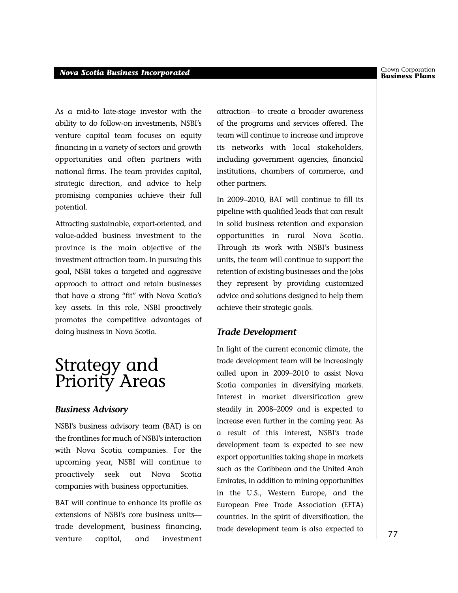#### **Business Plans** *Nova Scotia Business Incorporated*

As a mid-to late-stage investor with the ability to do follow-on investments, NSBI's venture capital team focuses on equity financing in a variety of sectors and growth opportunities and often partners with national firms. The team provides capital, strategic direction, and advice to help promising companies achieve their full potential.

Attracting sustainable, export-oriented, and value-added business investment to the province is the main objective of the investment attraction team. In pursuing this goal, NSBI takes a targeted and aggressive approach to attract and retain businesses that have a strong "fit" with Nova Scotia's key assets. In this role, NSBI proactively promotes the competitive advantages of doing business in Nova Scotia.

## Strategy and Priority Areas

#### *Business Advisory*

NSBI's business advisory team (BAT) is on the frontlines for much of NSBI's interaction with Nova Scotia companies. For the upcoming year, NSBI will continue to proactively seek out Nova Scotia companies with business opportunities.

BAT will continue to enhance its profile as extensions of NSBI's core business units trade development, business financing, venture capital, and investment

attraction—to create a broader awareness of the programs and services offered. The team will continue to increase and improve its networks with local stakeholders, including government agencies, financial institutions, chambers of commerce, and other partners.

In 2009–2010, BAT will continue to fill its pipeline with qualified leads that can result in solid business retention and expansion opportunities in rural Nova Scotia. Through its work with NSBI's business units, the team will continue to support the retention of existing businesses and the jobs they represent by providing customized advice and solutions designed to help them achieve their strategic goals.

#### *Trade Development*

In light of the current economic climate, the trade development team will be increasingly called upon in 2009–2010 to assist Nova Scotia companies in diversifying markets. Interest in market diversification grew steadily in 2008–2009 and is expected to increase even further in the coming year. As a result of this interest, NSBI's trade development team is expected to see new export opportunities taking shape in markets such as the Caribbean and the United Arab Emirates, in addition to mining opportunities in the U.S., Western Europe, and the European Free Trade Association (EFTA) countries. In the spirit of diversification, the trade development team is also expected to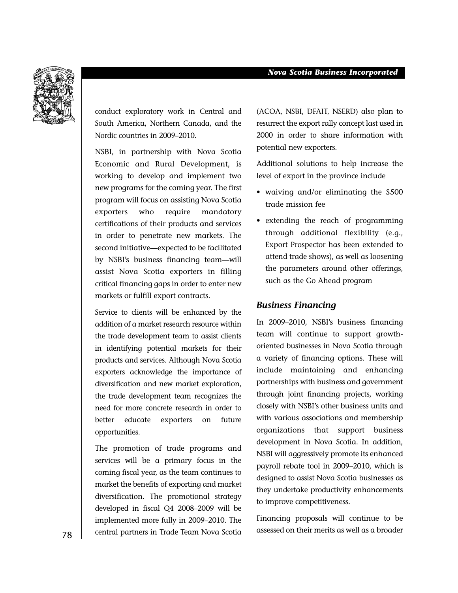

conduct exploratory work in Central and South America, Northern Canada, and the Nordic countries in 2009–2010.

NSBI, in partnership with Nova Scotia Economic and Rural Development, is working to develop and implement two new programs for the coming year. The first program will focus on assisting Nova Scotia exporters who require mandatory certifications of their products and services in order to penetrate new markets. The second initiative—expected to be facilitated by NSBI's business financing team—will assist Nova Scotia exporters in filling critical financing gaps in order to enter new markets or fulfill export contracts.

Service to clients will be enhanced by the addition of a market research resource within the trade development team to assist clients in identifying potential markets for their products and services. Although Nova Scotia exporters acknowledge the importance of diversification and new market exploration, the trade development team recognizes the need for more concrete research in order to better educate exporters on future opportunities.

The promotion of trade programs and services will be a primary focus in the coming fiscal year, as the team continues to market the benefits of exporting and market diversification. The promotional strategy developed in fiscal Q4 2008–2009 will be implemented more fully in 2009–2010. The central partners in Trade Team Nova Scotia (ACOA, NSBI, DFAIT, NSERD) also plan to resurrect the export rally concept last used in 2000 in order to share information with potential new exporters.

Additional solutions to help increase the level of export in the province include

- waiving and/or eliminating the \$500 trade mission fee
- extending the reach of programming through additional flexibility (e.g., Export Prospector has been extended to attend trade shows), as well as loosening the parameters around other offerings, such as the Go Ahead program

#### *Business Financing*

In 2009–2010, NSBI's business financing team will continue to support growthoriented businesses in Nova Scotia through a variety of financing options. These will include maintaining and enhancing partnerships with business and government through joint financing projects, working closely with NSBI's other business units and with various associations and membership organizations that support business development in Nova Scotia. In addition, NSBI will aggressively promote its enhanced payroll rebate tool in 2009–2010, which is designed to assist Nova Scotia businesses as they undertake productivity enhancements to improve competitiveness.

Financing proposals will continue to be assessed on their merits as well as a broader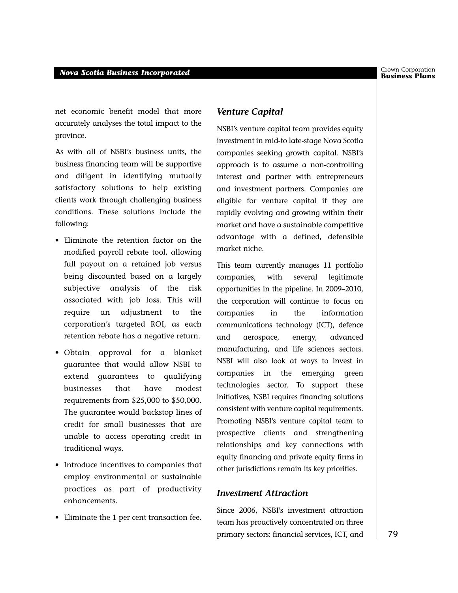net economic benefit model that more accurately analyses the total impact to the province.

As with all of NSBI's business units, the business financing team will be supportive and diligent in identifying mutually satisfactory solutions to help existing clients work through challenging business conditions. These solutions include the following:

- Eliminate the retention factor on the modified payroll rebate tool, allowing full payout on a retained job versus being discounted based on a largely subjective analysis of the risk associated with job loss. This will require an adjustment to the corporation's targeted ROI, as each retention rebate has a negative return.
- Obtain approval for a blanket guarantee that would allow NSBI to extend guarantees to qualifying businesses that have modest requirements from \$25,000 to \$50,000. The guarantee would backstop lines of credit for small businesses that are unable to access operating credit in traditional ways.
- Introduce incentives to companies that employ environmental or sustainable practices as part of productivity enhancements.
- Eliminate the 1 per cent transaction fee.

#### *Venture Capital*

NSBI's venture capital team provides equity investment in mid-to late-stage Nova Scotia companies seeking growth capital. NSBI's approach is to assume a non-controlling interest and partner with entrepreneurs and investment partners. Companies are eligible for venture capital if they are rapidly evolving and growing within their market and have a sustainable competitive advantage with a defined, defensible market niche.

This team currently manages 11 portfolio companies, with several legitimate opportunities in the pipeline. In 2009–2010, the corporation will continue to focus on companies in the information communications technology (ICT), defence and aerospace, energy, advanced manufacturing, and life sciences sectors. NSBI will also look at ways to invest in companies in the emerging green technologies sector. To support these initiatives, NSBI requires financing solutions consistent with venture capital requirements. Promoting NSBI's venture capital team to prospective clients and strengthening relationships and key connections with equity financing and private equity firms in other jurisdictions remain its key priorities.

#### *Investment Attraction*

Since 2006, NSBI's investment attraction team has proactively concentrated on three primary sectors: financial services, ICT, and Crown Corporation<br>**Business Plans**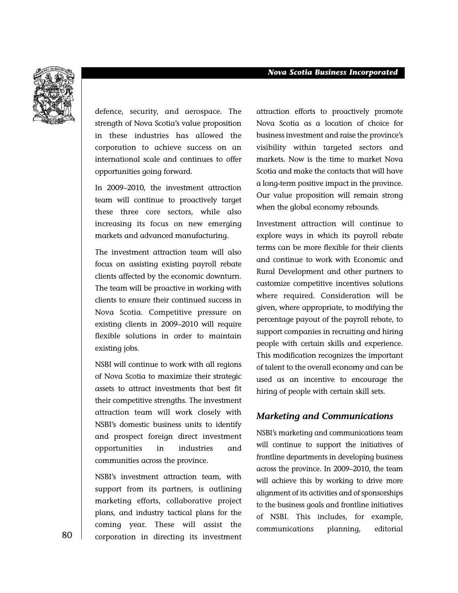

defence, security, and aerospace. The strength of Nova Scotia's value proposition in these industries has allowed the corporation to achieve success on an international scale and continues to offer opportunities going forward.

In 2009–2010, the investment attraction team will continue to proactively target these three core sectors, while also increasing its focus on new emerging markets and advanced manufacturing.

The investment attraction team will also focus on assisting existing payroll rebate clients affected by the economic downturn. The team will be proactive in working with clients to ensure their continued success in Nova Scotia. Competitive pressure on existing clients in 2009–2010 will require flexible solutions in order to maintain existing jobs.

NSBI will continue to work with all regions of Nova Scotia to maximize their strategic assets to attract investments that best fit their competitive strengths. The investment attraction team will work closely with NSBI's domestic business units to identify and prospect foreign direct investment opportunities in industries and communities across the province.

NSBI's investment attraction team, with support from its partners, is outlining marketing efforts, collaborative project plans, and industry tactical plans for the coming year. These will assist the corporation in directing its investment

attraction efforts to proactively promote Nova Scotia as a location of choice for business investment and raise the province's visibility within targeted sectors and markets. Now is the time to market Nova Scotia and make the contacts that will have a long-term positive impact in the province. Our value proposition will remain strong when the global economy rebounds.

Investment attraction will continue to explore ways in which its payroll rebate terms can be more flexible for their clients and continue to work with Economic and Rural Development and other partners to customize competitive incentives solutions where required. Consideration will be given, where appropriate, to modifying the percentage payout of the payroll rebate, to support companies in recruiting and hiring people with certain skills and experience. This modification recognizes the important of talent to the overall economy and can be used as an incentive to encourage the hiring of people with certain skill sets.

#### *Marketing and Communications*

NSBI's marketing and communications team will continue to support the initiatives of frontline departments in developing business across the province. In 2009–2010, the team will achieve this by working to drive more alignment of its activities and of sponsorships to the business goals and frontline initiatives of NSBI. This includes, for example, communications planning, editorial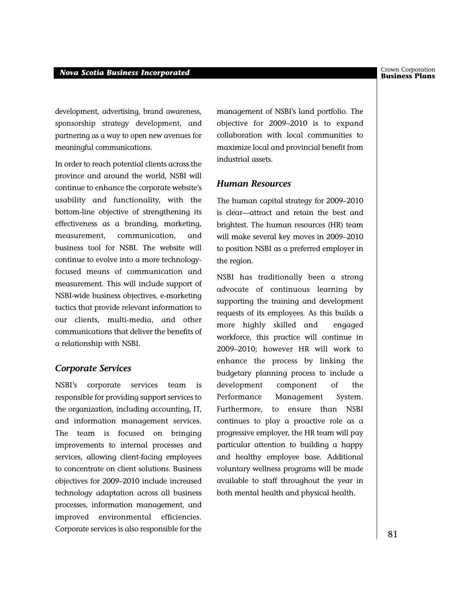development, advertising, brand awareness, sponsorship strategy development, and partnering as a way to open new avenues for meaningful communications.

In order to reach potential clients across the province and around the world, NSBI will continue to enhance the corporate website's usability and functionality, with the bottom-line objective of strengthening its effectiveness as a branding, marketing, measurement, communication, and business tool for NSBI. The website will continue to evolve into a more technologyfocused means of communication and measurement. This will include support of NSBI-wide business objectives, e-marketing tactics that provide relevant information to our clients, multi-media, and other communications that deliver the benefits of a relationship with NSBI.

#### *Corporate Services*

NSBI's corporate services team is responsible for providing support services to the organization, including accounting, IT, and information management services. The team is focused on bringing improvements to internal processes and services, allowing client-facing employees to concentrate on client solutions. Business objectives for 2009–2010 include increased technology adaptation across all business processes, information management, and improved environmental efficiencies. Corporate services is also responsible for the

management of NSBI's land portfolio. The objective for 2009–2010 is to expand collaboration with local communities to maximize local and provincial benefit from industrial assets.

#### *Human Resources*

The human capital strategy for 2009–2010 is clear—attract and retain the best and brightest. The human resources (HR) team will make several key moves in 2009–2010 to position NSBI as a preferred employer in the region.

NSBI has traditionally been a strong advocate of continuous learning by supporting the training and development requests of its employees. As this builds a more highly skilled and engaged workforce, this practice will continue in 2009–2010; however HR will work to enhance the process by linking the budgetary planning process to include a development component of the Performance Management System. Furthermore, to ensure than NSBI continues to play a proactive role as a progressive employer, the HR team will pay particular attention to building a happy and healthy employee base. Additional voluntary wellness programs will be made available to staff throughout the year in both mental health and physical health.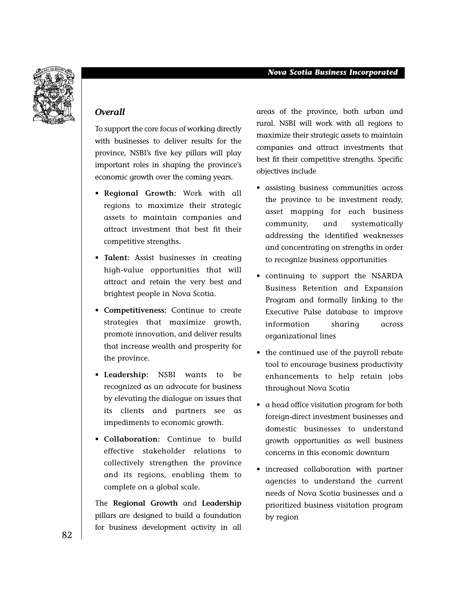

#### *Overall*

To support the core focus of working directly with businesses to deliver results for the province, NSBI's five key pillars will play important roles in shaping the province's economic growth over the coming years.

- **Regional Growth:** Work with all regions to maximize their strategic assets to maintain companies and attract investment that best fit their competitive strengths.
- **Talent:** Assist businesses in creating high-value opportunities that will attract and retain the very best and brightest people in Nova Scotia.
- **Competitiveness:** Continue to create strategies that maximize growth, promote innovation, and deliver results that increase wealth and prosperity for the province.
- **Leadership:** NSBI wants to be recognized as an advocate for business by elevating the dialogue on issues that its clients and partners see as impediments to economic growth.
- **Collaboration:** Continue to build effective stakeholder relations to collectively strengthen the province and its regions, enabling them to complete on a global scale.

The **Regional Growth** and **Leadership** pillars are designed to build a foundation for business development activity in all

areas of the province, both urban and rural. NSBI will work with all regions to maximize their strategic assets to maintain companies and attract investments that best fit their competitive strengths. Specific objectives include

- assisting business communities across the province to be investment ready, asset mapping for each business community, and systematically addressing the identified weaknesses and concentrating on strengths in order to recognize business opportunities
- continuing to support the NSARDA Business Retention and Expansion Program and formally linking to the Executive Pulse database to improve information sharing across organizational lines
- the continued use of the payroll rebate tool to encourage business productivity enhancements to help retain jobs throughout Nova Scotia
- a head office visitation program for both foreign-direct investment businesses and domestic businesses to understand growth opportunities as well business concerns in this economic downturn
- increased collaboration with partner agencies to understand the current needs of Nova Scotia businesses and a prioritized business visitation program by region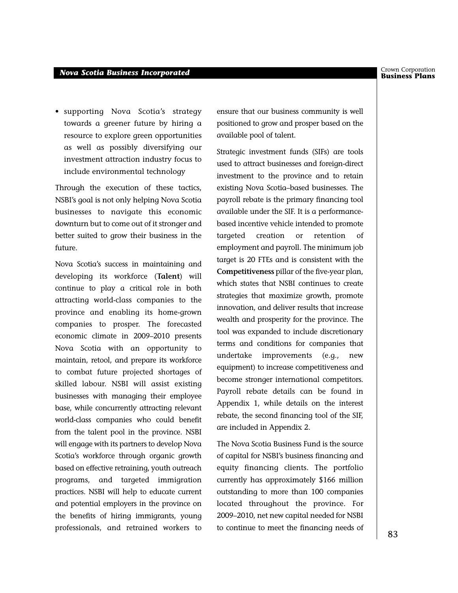• supporting Nova Scotia's strategy towards a greener future by hiring a resource to explore green opportunities as well as possibly diversifying our investment attraction industry focus to include environmental technology

Through the execution of these tactics, NSBI's goal is not only helping Nova Scotia businesses to navigate this economic downturn but to come out of it stronger and better suited to grow their business in the future.

Nova Scotia's success in maintaining and developing its workforce (**Talent**) will continue to play a critical role in both attracting world-class companies to the province and enabling its home-grown companies to prosper. The forecasted economic climate in 2009–2010 presents Nova Scotia with an opportunity to maintain, retool, and prepare its workforce to combat future projected shortages of skilled labour. NSBI will assist existing businesses with managing their employee base, while concurrently attracting relevant world-class companies who could benefit from the talent pool in the province. NSBI will engage with its partners to develop Nova Scotia's workforce through organic growth based on effective retraining, youth outreach programs, and targeted immigration practices. NSBI will help to educate current and potential employers in the province on the benefits of hiring immigrants, young professionals, and retrained workers to

ensure that our business community is well positioned to grow and prosper based on the available pool of talent.

Strategic investment funds (SIFs) are tools used to attract businesses and foreign-direct investment to the province and to retain existing Nova Scotia–based businesses. The payroll rebate is the primary financing tool available under the SIF. It is a performancebased incentive vehicle intended to promote targeted creation or retention of employment and payroll. The minimum job target is 20 FTEs and is consistent with the **Competitiveness** pillar of the five-year plan, which states that NSBI continues to create strategies that maximize growth, promote innovation, and deliver results that increase wealth and prosperity for the province. The tool was expanded to include discretionary terms and conditions for companies that undertake improvements (e.g., new equipment) to increase competitiveness and become stronger international competitors. Payroll rebate details can be found in Appendix 1, while details on the interest rebate, the second financing tool of the SIF, are included in Appendix 2.

The Nova Scotia Business Fund is the source of capital for NSBI's business financing and equity financing clients. The portfolio currently has approximately \$166 million outstanding to more than 100 companies located throughout the province. For 2009–2010, net new capital needed for NSBI to continue to meet the financing needs of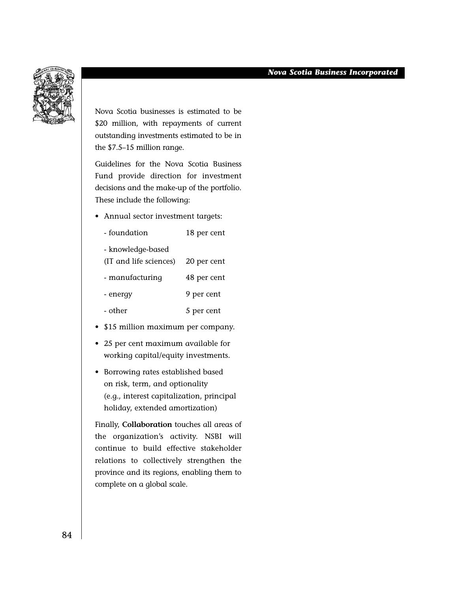

Nova Scotia businesses is estimated to be \$20 million, with repayments of current outstanding investments estimated to be in the \$7.5–15 million range.

Guidelines for the Nova Scotia Business Fund provide direction for investment decisions and the make-up of the portfolio. These include the following:

• Annual sector investment targets:

| - foundation           | 18 per cent |
|------------------------|-------------|
| - knowledge-based      |             |
| (IT and life sciences) | 20 per cent |
| - manufacturing        | 48 per cent |
| - energy               | 9 per cent  |
| - other                | 5 per cent  |

- \$15 million maximum per company.
- 25 per cent maximum available for working capital/equity investments.
- Borrowing rates established based on risk, term, and optionality (e.g., interest capitalization, principal holiday, extended amortization)

Finally, **Collaboration** touches all areas of the organization's activity. NSBI will continue to build effective stakeholder relations to collectively strengthen the province and its regions, enabling them to complete on a global scale.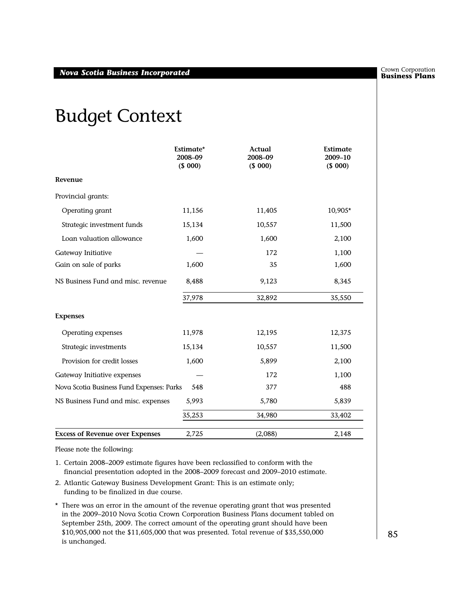## Budget Context

|                                           | Estimate*<br>2008-09<br>(\$ 000) | Actual<br>2008-09<br>(\$000) | Estimate<br>2009-10<br>(\$ 000) |
|-------------------------------------------|----------------------------------|------------------------------|---------------------------------|
| Revenue                                   |                                  |                              |                                 |
| Provincial grants:                        |                                  |                              |                                 |
| Operating grant                           | 11,156                           | 11,405                       | 10,905*                         |
| Strategic investment funds                | 15,134                           | 10,557                       | 11,500                          |
| Loan valuation allowance                  | 1,600                            | 1,600                        | 2,100                           |
| Gateway Initiative                        |                                  | 172                          | 1,100                           |
| Gain on sale of parks                     | 1,600                            | 35                           | 1,600                           |
| NS Business Fund and misc. revenue        | 8,488                            | 9,123                        | 8,345                           |
|                                           | 37,978                           | 32,892                       | 35,550                          |
| <b>Expenses</b>                           |                                  |                              |                                 |
| Operating expenses                        | 11,978                           | 12,195                       | 12,375                          |
| Strategic investments                     | 15,134                           | 10,557                       | 11,500                          |
| Provision for credit losses               | 1,600                            | 5,899                        | 2,100                           |
| Gateway Initiative expenses               |                                  | 172                          | 1,100                           |
| Nova Scotia Business Fund Expenses: Parks | 548                              | 377                          | 488                             |
| NS Business Fund and misc. expenses       | 5,993                            | 5,780                        | 5,839                           |
|                                           | 35,253                           | 34,980                       | 33,402                          |
| <b>Excess of Revenue over Expenses</b>    | 2,725                            | (2,088)                      | 2,148                           |

Please note the following:

- 1. Certain 2008–2009 estimate figures have been reclassified to conform with the financial presentation adopted in the 2008–2009 forecast and 2009–2010 estimate.
- 2. Atlantic Gateway Business Development Grant: This is an estimate only; funding to be finalized in due course.
- \* There was an error in the amount of the revenue operating grant that was presented in the 2009–2010 Nova Scotia Crown Corporation Business Plans document tabled on September 25th, 2009. The correct amount of the operating grant should have been \$10,905,000 not the \$11,605,000 that was presented. Total revenue of \$35,550,000 is unchanged.

Crown Corporation<br>**Business Plans**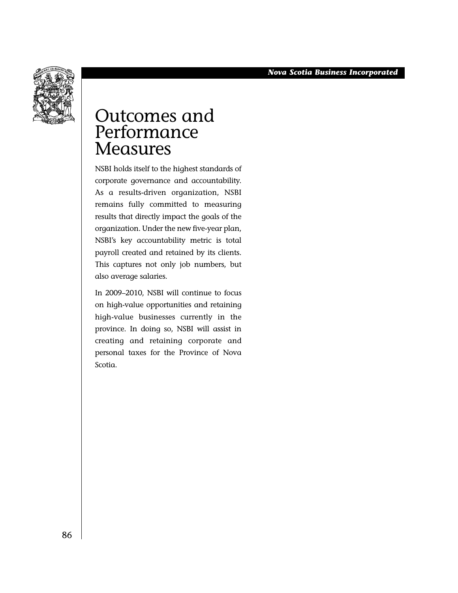

## Outcomes and Performance **Measures**

NSBI holds itself to the highest standards of corporate governance and accountability. As a results-driven organization, NSBI remains fully committed to measuring results that directly impact the goals of the organization. Under the new five-year plan, NSBI's key accountability metric is total payroll created and retained by its clients. This captures not only job numbers, but also average salaries.

In 2009–2010, NSBI will continue to focus on high-value opportunities and retaining high-value businesses currently in the province. In doing so, NSBI will assist in creating and retaining corporate and personal taxes for the Province of Nova Scotia.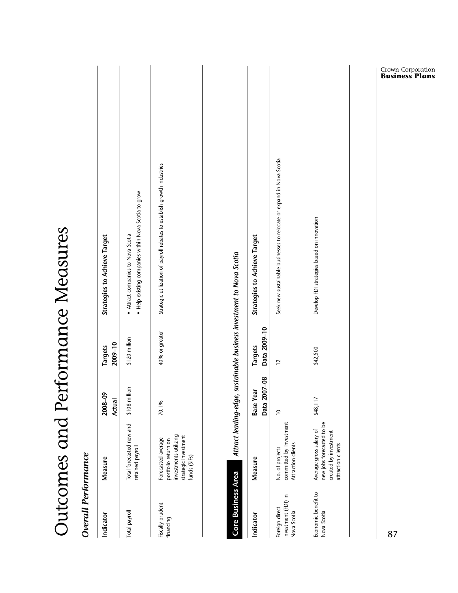| <b>Overall Performance</b>                           |                                                                                                            |                                  |                                |                                                                                          |
|------------------------------------------------------|------------------------------------------------------------------------------------------------------------|----------------------------------|--------------------------------|------------------------------------------------------------------------------------------|
| Indicator                                            | Measure                                                                                                    | ءِ<br>2008-0<br>Actual           | 2009-10<br>Targets             | <b>Strategies to Achieve Target</b>                                                      |
| Total payroll                                        | Total forecasted new and<br>retained payroll                                                               | illion<br>\$108 mi               | \$120 million                  | . Help existing companies within Nova Scotia to grow<br>Attract companies to Nova Scotia |
| Fiscally prudent<br>financing                        | investments utilizing<br>strategic investment<br>Forecasted average<br>portfolio return on<br>funds (SIFs) | 70.1%                            | 40% or greater                 | Strategic utilization of payroll rebates to establish growth industries                  |
| Core Business Area                                   |                                                                                                            |                                  |                                | Attract leading-edge, sustainable business investment to Nova Scotia                     |
| Indicator                                            | Measure                                                                                                    | Data 2007-08<br><b>Base Year</b> | Data 2009-10<br><b>Targets</b> | Strategies to Achieve Target                                                             |
| investment (FDI) in<br>Foreign direct<br>Nova Scotia | committed by Investment<br>Attraction clients<br>No. of projects                                           | $\overline{c}$                   | $\overline{c}$                 | Seek new sustainable businesses to relocate or expand in Nova Scotia                     |
| Economic benefit to<br>Nova Scotia                   | new jobs forecasted to be<br>Average gross salary of<br>created by investment<br>attraction clients        | \$48,117                         | \$42,500                       | Develop FDI strategies based on innovation                                               |
|                                                      |                                                                                                            |                                  |                                |                                                                                          |
| 87                                                   |                                                                                                            |                                  |                                | <b>Crown Corporation</b><br><b>Business Plans</b>                                        |

Outcomes and Performance Measures

Outcomes and Performance Measures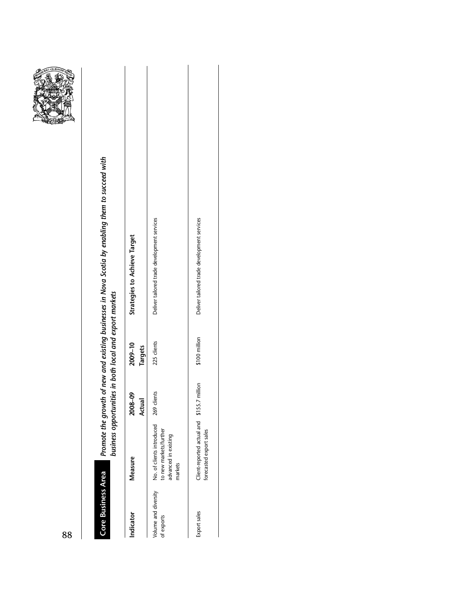

# Promote the growth of new and existing businesses in Nova Scotia by enabling them to succeed with<br>business opportunities in both local and export markets *Promote the growth of new and existing businesses in Nova Scotia by enabling them to succeed with business opportunities in both local and export markets* **Core Business Area Core Business Area**

| Indicator                          | Measure                                                                                | 2008-09<br>Actual | 2009-10<br>Targets | <b>Strategies to Achieve Target</b>         |
|------------------------------------|----------------------------------------------------------------------------------------|-------------------|--------------------|---------------------------------------------|
| Volume and diversity<br>of exports | No. of clients introduced<br>to new markets/further<br>advanced in existing<br>narkets | 269 clients       | 225 clients        | Deliver tailored trade development services |
| Export sales                       | Client-reported actual and<br>forecasted export sales                                  | \$155.7 million   | \$100 million      | Deliver tailored trade development services |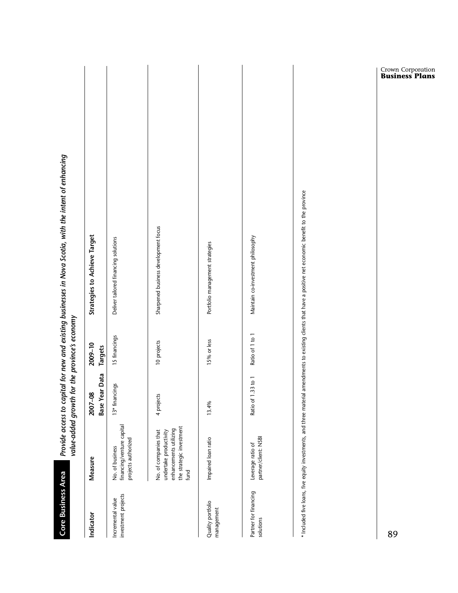| <b>Core Business Area</b>                |                                                                                                               | value-added growth for the province's economy |                    | Provide access to capital for new and existing businesses in Nova Scotia, with the intent of enhancing                                                      |
|------------------------------------------|---------------------------------------------------------------------------------------------------------------|-----------------------------------------------|--------------------|-------------------------------------------------------------------------------------------------------------------------------------------------------------|
| Indicator                                | <b>Measure</b>                                                                                                | <b>Base Year Data</b><br>2007-08              | 2009-10<br>Targets | <b>Strategies to Achieve Target</b>                                                                                                                         |
| investment projects<br>Incremental value | financing/venture capital<br>projects authorized<br>No. of business                                           | 13* financings                                | 15 financings      | Deliver tailored financing solutions                                                                                                                        |
|                                          | the strategic investment<br>enhancements utilizing<br>No. of companies that<br>undertake productivity<br>fund | 4 projects                                    | 10 projects        | Sharpened business development focus                                                                                                                        |
| Quality portfolio<br>management          | Impaired loan ratio                                                                                           | 13.4%                                         | 15% or less        | Portfolio management strategies                                                                                                                             |
| Partner for financing<br>solutions       | partner/client: NSBI<br>Leverage ratio of                                                                     | Ratio of 1.33 to 1                            | Ratio of 1 to 1    | Maintain co-investment philosophy                                                                                                                           |
|                                          |                                                                                                               |                                               |                    | * Included five loans, five equity investments, and three material amendments to existing clients that have a positive net economic benefit to the province |
| 89                                       |                                                                                                               |                                               |                    | <b>Crown Corporation</b><br><b>Business Plans</b>                                                                                                           |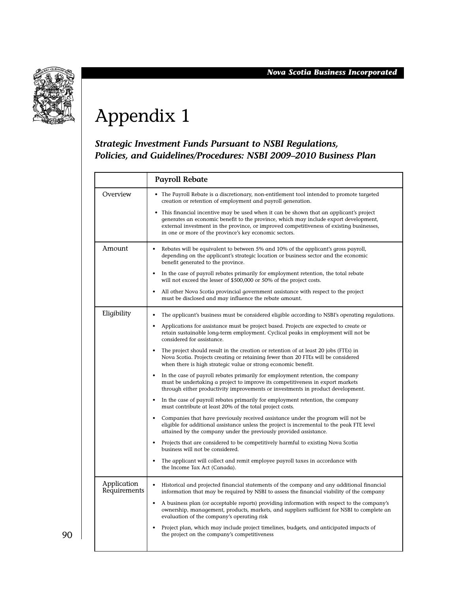

# Appendix 1

#### *Strategic Investment Funds Pursuant to NSBI Regulations, Policies, and Guidelines/Procedures: NSBI 2009–2010 Business Plan*

|                             | <b>Payroll Rebate</b>                                                                                                                                                                                                                                                                                                               |
|-----------------------------|-------------------------------------------------------------------------------------------------------------------------------------------------------------------------------------------------------------------------------------------------------------------------------------------------------------------------------------|
| Overview                    | • The Payroll Rebate is a discretionary, non-entitlement tool intended to promote targeted<br>creation or retention of employment and payroll generation.                                                                                                                                                                           |
|                             | This financial incentive may be used when it can be shown that an applicant's project<br>generates an economic benefit to the province, which may include export development,<br>external investment in the province, or improved competitiveness of existing businesses,<br>in one or more of the province's key economic sectors. |
| Amount                      | Rebates will be equivalent to between 5% and 10% of the applicant's gross payroll,<br>$\bullet$<br>depending on the applicant's strategic location or business sector and the economic<br>benefit generated to the province.                                                                                                        |
|                             | In the case of payroll rebates primarily for employment retention, the total rebate<br>$\bullet$<br>will not exceed the lesser of \$500,000 or 50% of the project costs.                                                                                                                                                            |
|                             | All other Nova Scotia provincial government assistance with respect to the project<br>$\bullet$<br>must be disclosed and may influence the rebate amount.                                                                                                                                                                           |
| Eligibility                 | The applicant's business must be considered eligible according to NSBI's operating regulations.<br>$\bullet$                                                                                                                                                                                                                        |
|                             | Applications for assistance must be project based. Projects are expected to create or<br>$\bullet$<br>retain sustainable long-term employment. Cyclical peaks in employment will not be<br>considered for assistance.                                                                                                               |
|                             | The project should result in the creation or retention of at least 20 jobs (FTEs) in<br>$\bullet$<br>Nova Scotia. Projects creating or retaining fewer than 20 FTEs will be considered<br>when there is high strategic value or strong economic benefit.                                                                            |
|                             | In the case of payroll rebates primarily for employment retention, the company<br>$\bullet$<br>must be undertaking a project to improve its competitiveness in export markets<br>through either productivity improvements or investments in product development.                                                                    |
|                             | In the case of payroll rebates primarily for employment retention, the company<br>$\bullet$<br>must contribute at least 20% of the total project costs.                                                                                                                                                                             |
|                             | Companies that have previously received assistance under the program will not be<br>eligible for additional assistance unless the project is incremental to the peak FTE level<br>attained by the company under the previously provided assistance.                                                                                 |
|                             | Projects that are considered to be competitively harmful to existing Nova Scotia<br>$\bullet$<br>business will not be considered.                                                                                                                                                                                                   |
|                             | The applicant will collect and remit employee payroll taxes in accordance with<br>the Income Tax Act (Canada).                                                                                                                                                                                                                      |
| Application<br>Requirements | Historical and projected financial statements of the company and any additional financial<br>information that may be required by NSBI to assess the financial viability of the company                                                                                                                                              |
|                             | A business plan (or acceptable reports) providing information with respect to the company's<br>$\bullet$<br>ownership, management, products, markets, and suppliers sufficient for NSBI to complete an<br>evaluation of the company's operating risk                                                                                |
|                             | Project plan, which may include project timelines, budgets, and anticipated impacts of<br>the project on the company's competitiveness                                                                                                                                                                                              |
|                             |                                                                                                                                                                                                                                                                                                                                     |

90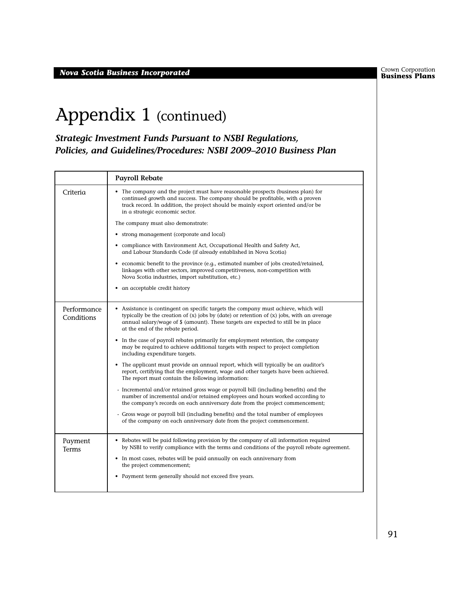**Business Plans** *Nova Scotia Business Incorporated*

Crown Corporation<br>**Business Plans** 

## Appendix 1 (continued)

*Strategic Investment Funds Pursuant to NSBI Regulations, Policies, and Guidelines/Procedures: NSBI 2009–2010 Business Plan*

|                           | <b>Payroll Rebate</b>                                                                                                                                                                                                                                                                                        |
|---------------------------|--------------------------------------------------------------------------------------------------------------------------------------------------------------------------------------------------------------------------------------------------------------------------------------------------------------|
| Criteria                  | • The company and the project must have reasonable prospects (business plan) for<br>continued growth and success. The company should be profitable, with a proven<br>track record. In addition, the project should be mainly export oriented and/or be<br>in a strategic economic sector.                    |
|                           | The company must also demonstrate:                                                                                                                                                                                                                                                                           |
|                           | • strong management (corporate and local)                                                                                                                                                                                                                                                                    |
|                           | • compliance with Environment Act, Occupational Health and Safety Act,<br>and Labour Standards Code (if already established in Nova Scotia)                                                                                                                                                                  |
|                           | • economic benefit to the province (e.g., estimated number of jobs created/retained,<br>linkages with other sectors, improved competitiveness, non-competition with<br>Nova Scotia industries, import substitution, etc.)                                                                                    |
|                           | an acceptable credit history<br>٠                                                                                                                                                                                                                                                                            |
| Performance<br>Conditions | Assistance is contingent on specific targets the company must achieve, which will<br>typically be the creation of $(x)$ jobs by (date) or retention of $(x)$ jobs, with an average<br>annual salary/wage of \$ (amount). These targets are expected to still be in place<br>at the end of the rebate period. |
|                           | • In the case of payroll rebates primarily for employment retention, the company<br>may be required to achieve additional targets with respect to project completion<br>including expenditure targets.                                                                                                       |
|                           | • The applicant must provide an annual report, which will typically be an auditor's<br>report, certifying that the employment, wage and other targets have been achieved.<br>The report must contain the following information:                                                                              |
|                           | - Incremental and/or retained gross wage or payroll bill (including benefits) and the<br>number of incremental and/or retained employees and hours worked according to<br>the company's records on each anniversary date from the project commencement;                                                      |
|                           | - Gross wage or payroll bill (including benefits) and the total number of employees<br>of the company on each anniversary date from the project commencement.                                                                                                                                                |
| Payment<br><b>Terms</b>   | • Rebates will be paid following provision by the company of all information required<br>by NSBI to verify compliance with the terms and conditions of the payroll rebate agreement.                                                                                                                         |
|                           | • In most cases, rebates will be paid annually on each anniversary from<br>the project commencement;                                                                                                                                                                                                         |
|                           | Payment term generally should not exceed five years.<br>$\bullet$                                                                                                                                                                                                                                            |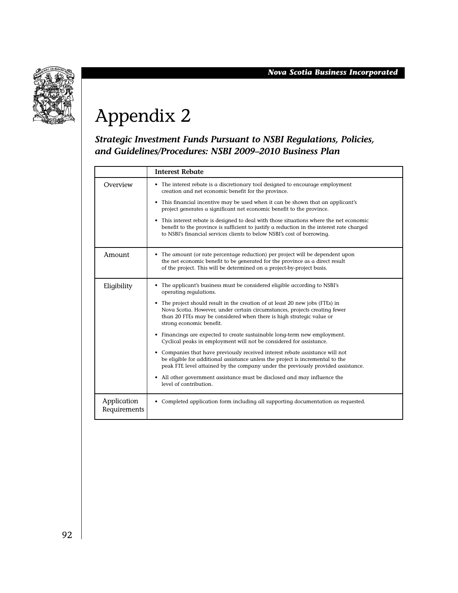

# Appendix 2

*Strategic Investment Funds Pursuant to NSBI Regulations, Policies, and Guidelines/Procedures: NSBI 2009–2010 Business Plan*

|                             | <b>Interest Rebate</b>                                                                                                                                                                                                                                          |
|-----------------------------|-----------------------------------------------------------------------------------------------------------------------------------------------------------------------------------------------------------------------------------------------------------------|
| Overview                    | • The interest rebate is a discretionary tool designed to encourage employment<br>creation and net economic benefit for the province.                                                                                                                           |
|                             | • This financial incentive may be used when it can be shown that an applicant's<br>project generates a significant net economic benefit to the province.                                                                                                        |
|                             | • This interest rebate is designed to deal with those situations where the net economic<br>benefit to the province is sufficient to justify a reduction in the interest rate charged<br>to NSBI's financial services clients to below NSBI's cost of borrowing. |
| Amount                      | • The amount (or rate percentage reduction) per project will be dependent upon<br>the net economic benefit to be generated for the province as a direct result<br>of the project. This will be determined on a project-by-project basis.                        |
| Eligibility                 | • The applicant's business must be considered eligible according to NSBI's<br>operating regulations.                                                                                                                                                            |
|                             | • The project should result in the creation of at least 20 new jobs (FTEs) in<br>Nova Scotia. However, under certain circumstances, projects creating fewer<br>than 20 FTEs may be considered when there is high strategic value or<br>strong economic benefit. |
|                             | • Financings are expected to create sustainable long-term new employment.<br>Cyclical peaks in employment will not be considered for assistance.                                                                                                                |
|                             | • Companies that have previously received interest rebate assistance will not<br>be eligible for additional assistance unless the project is incremental to the<br>peak FTE level attained by the company under the previously provided assistance.             |
|                             | • All other government assistance must be disclosed and may influence the<br>level of contribution.                                                                                                                                                             |
| Application<br>Requirements | • Completed application form including all supporting documentation as requested.                                                                                                                                                                               |